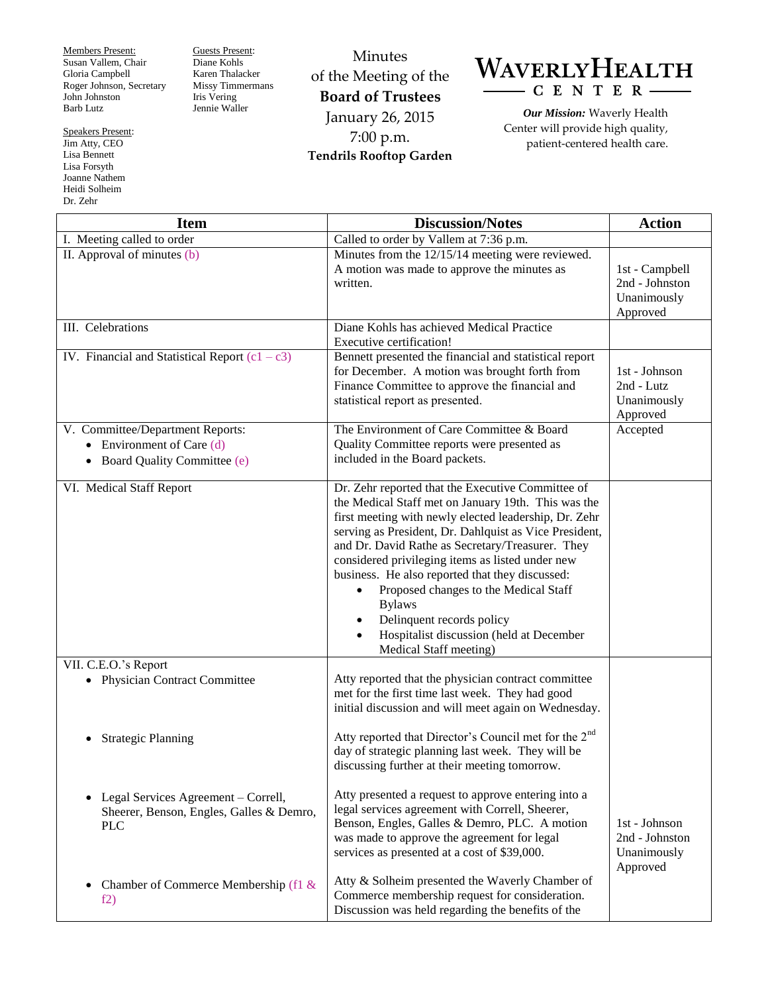Members Present: Susan Vallem, Chair Gloria Campbell Roger Johnson, Secretary John Johnston Barb Lutz

Speakers Present: Jim Atty, CEO Lisa Bennett Lisa Forsyth Joanne Nathem Heidi Solheim Dr. Zehr

Guests Present: Diane Kohls Karen Thalacker Missy Timmermans Iris Vering Jennie Waller

Minutes of the Meeting of the **Board of Trustees** January 26, 2015 7:00 p.m. **Tendrils Rooftop Garden**



*Our Mission:* Waverly Health Center will provide high quality, patient-centered health care.

| <b>Item</b>                                                                                      | <b>Discussion/Notes</b>                                                                                                                                                                                                                                                                                                                                                                                                                                                                                                                                          | <b>Action</b>                                               |
|--------------------------------------------------------------------------------------------------|------------------------------------------------------------------------------------------------------------------------------------------------------------------------------------------------------------------------------------------------------------------------------------------------------------------------------------------------------------------------------------------------------------------------------------------------------------------------------------------------------------------------------------------------------------------|-------------------------------------------------------------|
| I. Meeting called to order                                                                       | Called to order by Vallem at 7:36 p.m.                                                                                                                                                                                                                                                                                                                                                                                                                                                                                                                           |                                                             |
| II. Approval of minutes $(b)$                                                                    | Minutes from the 12/15/14 meeting were reviewed.<br>A motion was made to approve the minutes as<br>written.                                                                                                                                                                                                                                                                                                                                                                                                                                                      | 1st - Campbell<br>2nd - Johnston<br>Unanimously<br>Approved |
| III. Celebrations                                                                                | Diane Kohls has achieved Medical Practice<br>Executive certification!                                                                                                                                                                                                                                                                                                                                                                                                                                                                                            |                                                             |
| IV. Financial and Statistical Report $(c1 - c3)$                                                 | Bennett presented the financial and statistical report<br>for December. A motion was brought forth from<br>Finance Committee to approve the financial and<br>statistical report as presented.                                                                                                                                                                                                                                                                                                                                                                    | 1st - Johnson<br>2nd - Lutz<br>Unanimously<br>Approved      |
| V. Committee/Department Reports:<br>• Environment of Care $(d)$<br>• Board Quality Committee (e) | The Environment of Care Committee & Board<br>Quality Committee reports were presented as<br>included in the Board packets.                                                                                                                                                                                                                                                                                                                                                                                                                                       | Accepted                                                    |
| VI. Medical Staff Report                                                                         | Dr. Zehr reported that the Executive Committee of<br>the Medical Staff met on January 19th. This was the<br>first meeting with newly elected leadership, Dr. Zehr<br>serving as President, Dr. Dahlquist as Vice President,<br>and Dr. David Rathe as Secretary/Treasurer. They<br>considered privileging items as listed under new<br>business. He also reported that they discussed:<br>Proposed changes to the Medical Staff<br>$\bullet$<br><b>Bylaws</b><br>Delinquent records policy<br>Hospitalist discussion (held at December<br>Medical Staff meeting) |                                                             |
| VII. C.E.O.'s Report<br><b>Physician Contract Committee</b>                                      | Atty reported that the physician contract committee<br>met for the first time last week. They had good<br>initial discussion and will meet again on Wednesday.                                                                                                                                                                                                                                                                                                                                                                                                   |                                                             |
| <b>Strategic Planning</b>                                                                        | Atty reported that Director's Council met for the 2 <sup>nd</sup><br>day of strategic planning last week. They will be<br>discussing further at their meeting tomorrow.                                                                                                                                                                                                                                                                                                                                                                                          |                                                             |
| Legal Services Agreement - Correll,<br>Sheerer, Benson, Engles, Galles & Demro,<br><b>PLC</b>    | Atty presented a request to approve entering into a<br>legal services agreement with Correll, Sheerer,<br>Benson, Engles, Galles & Demro, PLC. A motion<br>was made to approve the agreement for legal<br>services as presented at a cost of \$39,000.                                                                                                                                                                                                                                                                                                           | 1st - Johnson<br>2nd - Johnston<br>Unanimously<br>Approved  |
| Chamber of Commerce Membership (f1 &<br>$\bullet$<br>f2)                                         | Atty & Solheim presented the Waverly Chamber of<br>Commerce membership request for consideration.<br>Discussion was held regarding the benefits of the                                                                                                                                                                                                                                                                                                                                                                                                           |                                                             |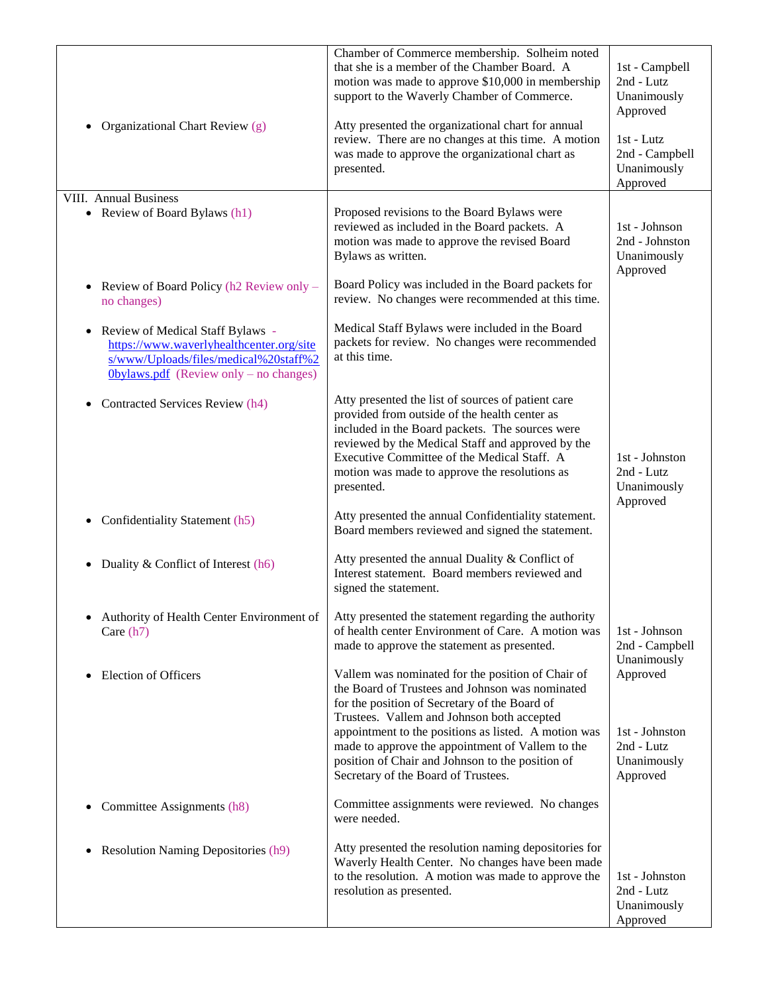| Organizational Chart Review (g)<br>$\bullet$                                                                                                                                 | Chamber of Commerce membership. Solheim noted<br>that she is a member of the Chamber Board. A<br>motion was made to approve \$10,000 in membership<br>support to the Waverly Chamber of Commerce.<br>Atty presented the organizational chart for annual<br>review. There are no changes at this time. A motion<br>was made to approve the organizational chart as<br>presented.                            | 1st - Campbell<br>2nd - Lutz<br>Unanimously<br>Approved<br>1st - Lutz<br>2nd - Campbell<br>Unanimously<br>Approved |
|------------------------------------------------------------------------------------------------------------------------------------------------------------------------------|------------------------------------------------------------------------------------------------------------------------------------------------------------------------------------------------------------------------------------------------------------------------------------------------------------------------------------------------------------------------------------------------------------|--------------------------------------------------------------------------------------------------------------------|
| <b>VIII.</b> Annual Business<br>• Review of Board Bylaws (h1)                                                                                                                | Proposed revisions to the Board Bylaws were<br>reviewed as included in the Board packets. A<br>motion was made to approve the revised Board<br>Bylaws as written.                                                                                                                                                                                                                                          | 1st - Johnson<br>2nd - Johnston<br>Unanimously<br>Approved                                                         |
| Review of Board Policy (h2 Review only -<br>$\bullet$<br>no changes)                                                                                                         | Board Policy was included in the Board packets for<br>review. No changes were recommended at this time.                                                                                                                                                                                                                                                                                                    |                                                                                                                    |
| Review of Medical Staff Bylaws -<br>$\bullet$<br>https://www.waverlyhealthcenter.org/site<br>s/www/Uploads/files/medical%20staff%2<br>Obylaws.pdf (Review only – no changes) | Medical Staff Bylaws were included in the Board<br>packets for review. No changes were recommended<br>at this time.                                                                                                                                                                                                                                                                                        |                                                                                                                    |
| Contracted Services Review (h4)                                                                                                                                              | Atty presented the list of sources of patient care<br>provided from outside of the health center as<br>included in the Board packets. The sources were<br>reviewed by the Medical Staff and approved by the<br>Executive Committee of the Medical Staff. A<br>motion was made to approve the resolutions as<br>presented.                                                                                  | 1st - Johnston<br>2nd - Lutz<br>Unanimously<br>Approved                                                            |
| Confidentiality Statement (h5)<br>$\bullet$                                                                                                                                  | Atty presented the annual Confidentiality statement.<br>Board members reviewed and signed the statement.                                                                                                                                                                                                                                                                                                   |                                                                                                                    |
| Duality & Conflict of Interest (h6)<br>$\bullet$                                                                                                                             | Atty presented the annual Duality & Conflict of<br>Interest statement. Board members reviewed and<br>signed the statement.                                                                                                                                                                                                                                                                                 |                                                                                                                    |
| Authority of Health Center Environment of<br>Care $(h7)$                                                                                                                     | Atty presented the statement regarding the authority<br>of health center Environment of Care. A motion was<br>made to approve the statement as presented.                                                                                                                                                                                                                                                  | 1st - Johnson<br>2nd - Campbell<br>Unanimously                                                                     |
| <b>Election of Officers</b><br>$\bullet$                                                                                                                                     | Vallem was nominated for the position of Chair of<br>the Board of Trustees and Johnson was nominated<br>for the position of Secretary of the Board of<br>Trustees. Vallem and Johnson both accepted<br>appointment to the positions as listed. A motion was<br>made to approve the appointment of Vallem to the<br>position of Chair and Johnson to the position of<br>Secretary of the Board of Trustees. | Approved<br>1st - Johnston<br>2nd - Lutz<br>Unanimously<br>Approved                                                |
| Committee Assignments (h8)<br>$\bullet$                                                                                                                                      | Committee assignments were reviewed. No changes<br>were needed.                                                                                                                                                                                                                                                                                                                                            |                                                                                                                    |
| <b>Resolution Naming Depositories (h9)</b><br>٠                                                                                                                              | Atty presented the resolution naming depositories for<br>Waverly Health Center. No changes have been made<br>to the resolution. A motion was made to approve the<br>resolution as presented.                                                                                                                                                                                                               | 1st - Johnston<br>2nd - Lutz<br>Unanimously<br>Approved                                                            |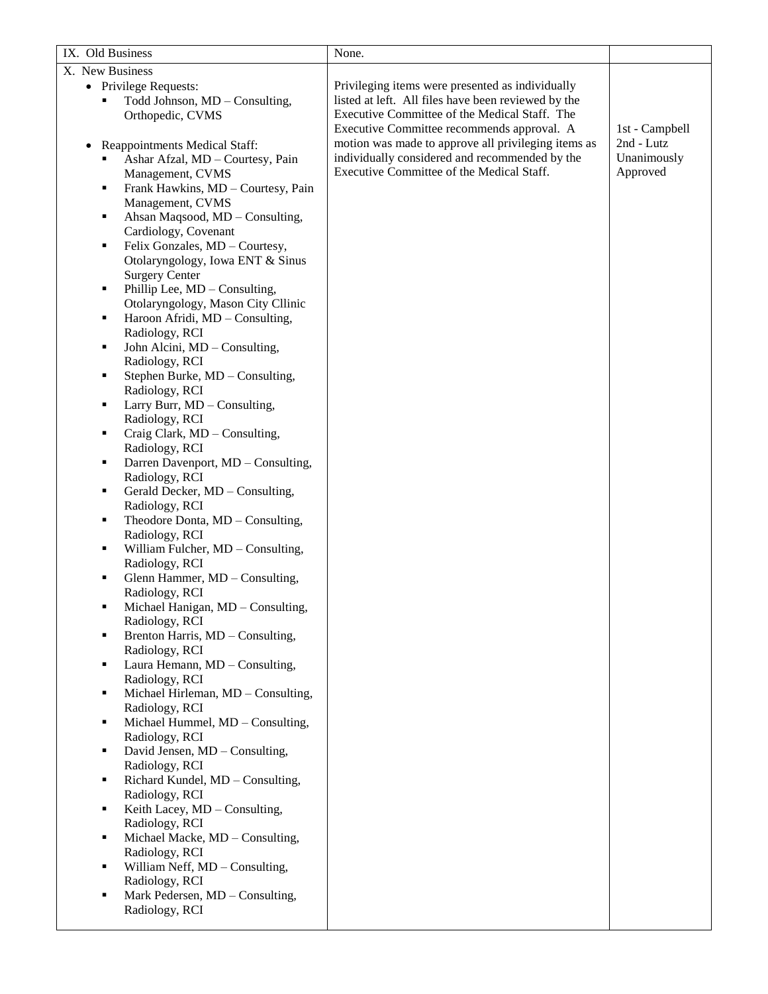| IX. Old Business |                                                   | None.                                               |                |
|------------------|---------------------------------------------------|-----------------------------------------------------|----------------|
| X. New Business  |                                                   |                                                     |                |
|                  | • Privilege Requests:                             | Privileging items were presented as individually    |                |
|                  | Todd Johnson, MD - Consulting,                    | listed at left. All files have been reviewed by the |                |
|                  | Orthopedic, CVMS                                  | Executive Committee of the Medical Staff. The       |                |
|                  |                                                   | Executive Committee recommends approval. A          | 1st - Campbell |
| $\bullet$        | Reappointments Medical Staff:                     | motion was made to approve all privileging items as | 2nd - Lutz     |
|                  | Ashar Afzal, MD - Courtesy, Pain                  | individually considered and recommended by the      | Unanimously    |
|                  | Management, CVMS                                  | Executive Committee of the Medical Staff.           | Approved       |
| ٠                | Frank Hawkins, MD - Courtesy, Pain                |                                                     |                |
|                  | Management, CVMS                                  |                                                     |                |
| ٠                | Ahsan Maqsood, MD - Consulting,                   |                                                     |                |
|                  | Cardiology, Covenant                              |                                                     |                |
| ٠                | Felix Gonzales, MD - Courtesy,                    |                                                     |                |
|                  | Otolaryngology, Iowa ENT & Sinus                  |                                                     |                |
|                  | <b>Surgery Center</b>                             |                                                     |                |
| ٠                | Phillip Lee, MD - Consulting,                     |                                                     |                |
|                  | Otolaryngology, Mason City Cllinic                |                                                     |                |
| ٠                | Haroon Afridi, MD - Consulting,                   |                                                     |                |
|                  | Radiology, RCI                                    |                                                     |                |
| ٠                | John Alcini, MD - Consulting,                     |                                                     |                |
|                  | Radiology, RCI                                    |                                                     |                |
| ٠                | Stephen Burke, MD - Consulting,                   |                                                     |                |
|                  | Radiology, RCI                                    |                                                     |                |
| ٠                | Larry Burr, MD - Consulting,                      |                                                     |                |
|                  | Radiology, RCI                                    |                                                     |                |
| ٠                | Craig Clark, MD - Consulting,                     |                                                     |                |
|                  | Radiology, RCI                                    |                                                     |                |
| ٠                | Darren Davenport, MD - Consulting,                |                                                     |                |
|                  | Radiology, RCI                                    |                                                     |                |
| ٠                | Gerald Decker, MD - Consulting,<br>Radiology, RCI |                                                     |                |
| ٠                | Theodore Donta, MD - Consulting,                  |                                                     |                |
|                  | Radiology, RCI                                    |                                                     |                |
| ٠                | William Fulcher, MD - Consulting,                 |                                                     |                |
|                  | Radiology, RCI                                    |                                                     |                |
| ٠                | Glenn Hammer, MD - Consulting,                    |                                                     |                |
|                  | Radiology, RCI                                    |                                                     |                |
|                  | Michael Hanigan, MD - Consulting,                 |                                                     |                |
|                  | Radiology, RCI                                    |                                                     |                |
| ٠                | Brenton Harris, MD - Consulting,                  |                                                     |                |
|                  | Radiology, RCI                                    |                                                     |                |
| ٠                | Laura Hemann, MD - Consulting,                    |                                                     |                |
|                  | Radiology, RCI                                    |                                                     |                |
| ٠                | Michael Hirleman, MD - Consulting,                |                                                     |                |
|                  | Radiology, RCI                                    |                                                     |                |
| ٠                | Michael Hummel, MD - Consulting,                  |                                                     |                |
| ٠                | Radiology, RCI<br>David Jensen, MD - Consulting,  |                                                     |                |
|                  | Radiology, RCI                                    |                                                     |                |
| ٠                | Richard Kundel, MD - Consulting,                  |                                                     |                |
|                  | Radiology, RCI                                    |                                                     |                |
| ٠                | Keith Lacey, MD - Consulting,                     |                                                     |                |
|                  | Radiology, RCI                                    |                                                     |                |
| ٠                | Michael Macke, MD - Consulting,                   |                                                     |                |
|                  | Radiology, RCI                                    |                                                     |                |
| ٠                | William Neff, MD - Consulting,                    |                                                     |                |
|                  | Radiology, RCI                                    |                                                     |                |
| ٠                | Mark Pedersen, MD - Consulting,                   |                                                     |                |
|                  | Radiology, RCI                                    |                                                     |                |
|                  |                                                   |                                                     |                |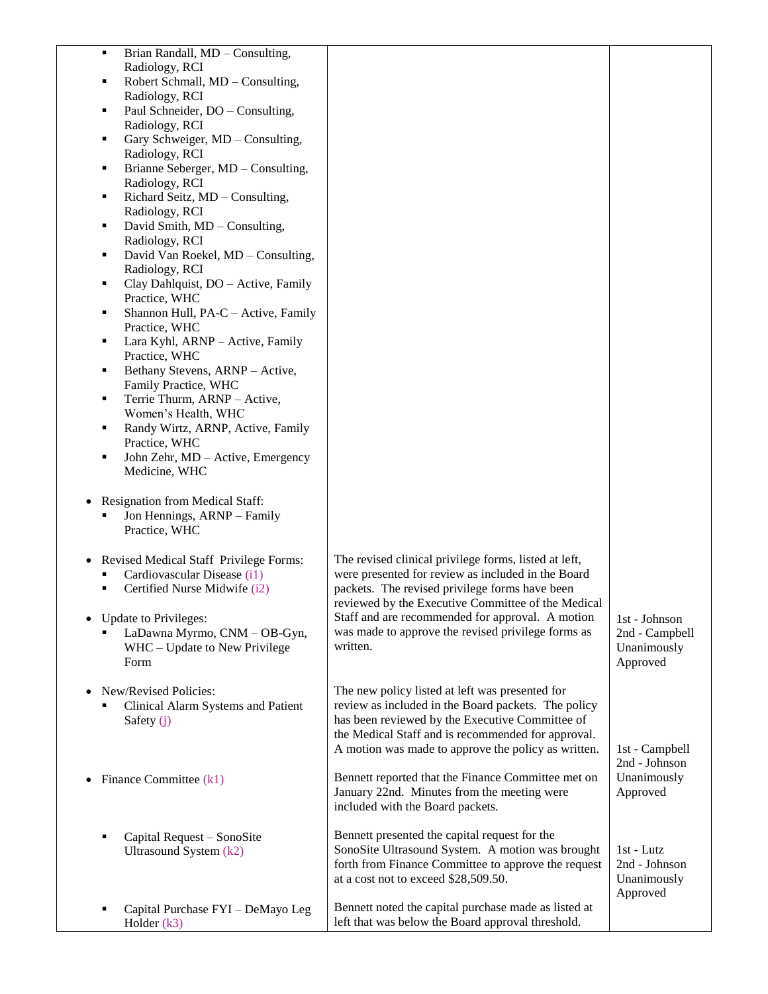| Brian Randall, MD - Consulting,<br>٠                                            |                                                       |                |
|---------------------------------------------------------------------------------|-------------------------------------------------------|----------------|
| Radiology, RCI                                                                  |                                                       |                |
| Robert Schmall, MD - Consulting,<br>п                                           |                                                       |                |
| Radiology, RCI                                                                  |                                                       |                |
| Paul Schneider, DO - Consulting,<br>٠                                           |                                                       |                |
| Radiology, RCI                                                                  |                                                       |                |
| Gary Schweiger, MD - Consulting,<br>Е                                           |                                                       |                |
| Radiology, RCI                                                                  |                                                       |                |
| Brianne Seberger, MD - Consulting,<br>٠                                         |                                                       |                |
| Radiology, RCI                                                                  |                                                       |                |
| Richard Seitz, MD - Consulting,<br>٠                                            |                                                       |                |
| Radiology, RCI                                                                  |                                                       |                |
| David Smith, MD - Consulting,<br>٠                                              |                                                       |                |
| Radiology, RCI                                                                  |                                                       |                |
| David Van Roekel, MD - Consulting,<br>п                                         |                                                       |                |
| Radiology, RCI                                                                  |                                                       |                |
| Clay Dahlquist, DO - Active, Family<br>٠                                        |                                                       |                |
| Practice, WHC                                                                   |                                                       |                |
| Shannon Hull, PA-C - Active, Family<br>п                                        |                                                       |                |
| Practice, WHC                                                                   |                                                       |                |
| Lara Kyhl, ARNP - Active, Family<br>٠                                           |                                                       |                |
| Practice, WHC                                                                   |                                                       |                |
| Bethany Stevens, ARNP - Active,<br>٠                                            |                                                       |                |
| Family Practice, WHC                                                            |                                                       |                |
| Terrie Thurm, ARNP - Active,<br>٠                                               |                                                       |                |
| Women's Health, WHC                                                             |                                                       |                |
| Randy Wirtz, ARNP, Active, Family<br>п                                          |                                                       |                |
| Practice, WHC                                                                   |                                                       |                |
| John Zehr, MD - Active, Emergency<br>٠                                          |                                                       |                |
| Medicine, WHC                                                                   |                                                       |                |
| Resignation from Medical Staff:<br>Jon Hennings, ARNP - Family<br>Practice, WHC |                                                       |                |
| Revised Medical Staff Privilege Forms:                                          | The revised clinical privilege forms, listed at left, |                |
| Cardiovascular Disease (i1)                                                     | were presented for review as included in the Board    |                |
| Certified Nurse Midwife (i2)<br>٠                                               | packets. The revised privilege forms have been        |                |
|                                                                                 | reviewed by the Executive Committee of the Medical    |                |
| <b>Update to Privileges:</b>                                                    | Staff and are recommended for approval. A motion      | 1st - Johnson  |
| LaDawna Myrmo, CNM - OB-Gyn,                                                    | was made to approve the revised privilege forms as    | 2nd - Campbell |
| WHC - Update to New Privilege                                                   | written.                                              | Unanimously    |
| Form                                                                            |                                                       | Approved       |
|                                                                                 |                                                       |                |
| New/Revised Policies:                                                           | The new policy listed at left was presented for       |                |
| Clinical Alarm Systems and Patient                                              | review as included in the Board packets. The policy   |                |
| Safety $(i)$                                                                    | has been reviewed by the Executive Committee of       |                |
|                                                                                 | the Medical Staff and is recommended for approval.    |                |
|                                                                                 | A motion was made to approve the policy as written.   | 1st - Campbell |
|                                                                                 |                                                       | 2nd - Johnson  |
| Finance Committee (k1)                                                          | Bennett reported that the Finance Committee met on    | Unanimously    |
|                                                                                 | January 22nd. Minutes from the meeting were           | Approved       |
|                                                                                 | included with the Board packets.                      |                |
|                                                                                 |                                                       |                |
| Capital Request - SonoSite                                                      | Bennett presented the capital request for the         |                |
| Ultrasound System (k2)                                                          | SonoSite Ultrasound System. A motion was brought      | 1st - Lutz     |
|                                                                                 | forth from Finance Committee to approve the request   | 2nd - Johnson  |
|                                                                                 | at a cost not to exceed \$28,509.50.                  | Unanimously    |
|                                                                                 |                                                       | Approved       |
| Capital Purchase FYI - DeMayo Leg                                               | Bennett noted the capital purchase made as listed at  |                |
| Holder $(k3)$                                                                   | left that was below the Board approval threshold.     |                |